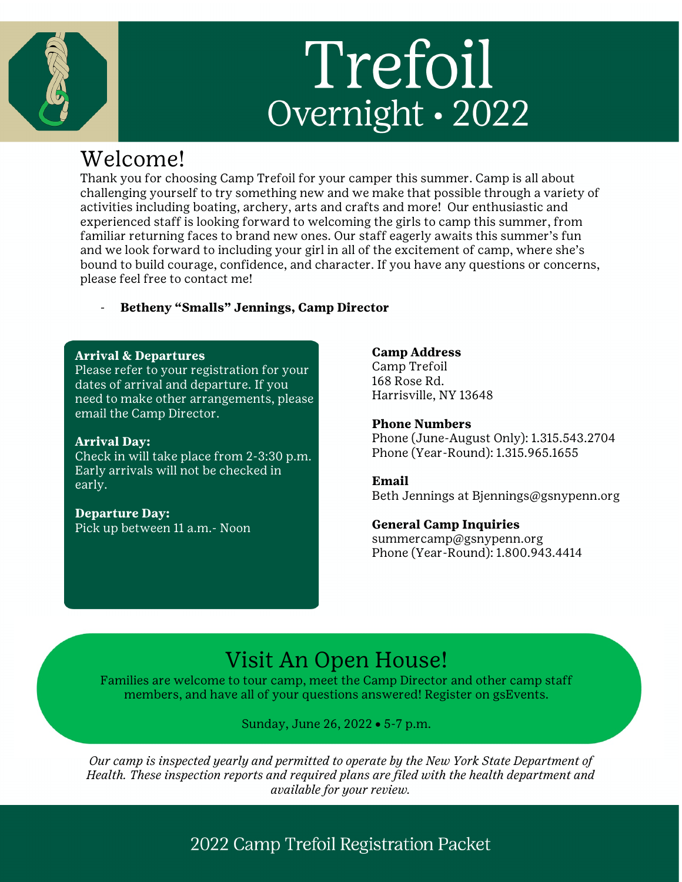# Trefoil Overnight · 2022

# Welcome!

Thank you for choosing Camp Trefoil for your camper this summer. Camp is all about challenging yourself to try something new and we make that possible through a variety of activities including boating, archery, arts and crafts and more! Our enthusiastic and experienced staff is looking forward to welcoming the girls to camp this summer, from familiar returning faces to brand new ones. Our staff eagerly awaits this summer's fun and we look forward to including your girl in all of the excitement of camp, where she's bound to build courage, confidence, and character. If you have any questions or concerns, please feel free to contact me!

# - **Betheny "Smalls" Jennings, Camp Director**

#### **Arrival & Departures**

Please refer to your registration for your dates of arrival and departure. If you need to make other arrangements, please email the Camp Director.

#### **Arrival Day:**

Check in will take place from 2-3:30 p.m. Early arrivals will not be checked in early.

# **Departure Day:**

Pick up between 11 a.m.- Noon

#### **Camp Address**

Camp Trefoil 168 Rose Rd. Harrisville, NY 13648

#### **Phone Numbers**

Phone (June-August Only): 1.315.543.2704 Phone (Year-Round): 1.315.965.1655

# **Email**

Beth Jennings at Bjennings@gsnypenn.org

# **General Camp Inquiries**

summercamp@gsnypenn.org Phone (Year-Round): 1.800.943.4414

# Visit An Open House!

Families are welcome to tour camp, meet the Camp Director and other camp staff members, and have all of your questions answered! Register on gsEvents.

# Sunday, June 26, 2022 • 5-7 p.m.

*Our camp is inspected yearly and permitted to operate by the New York State Department of Health. These inspection reports and required plans are filed with the health department and available for your review.*

# 2022 Camp Trefoil Registration Packet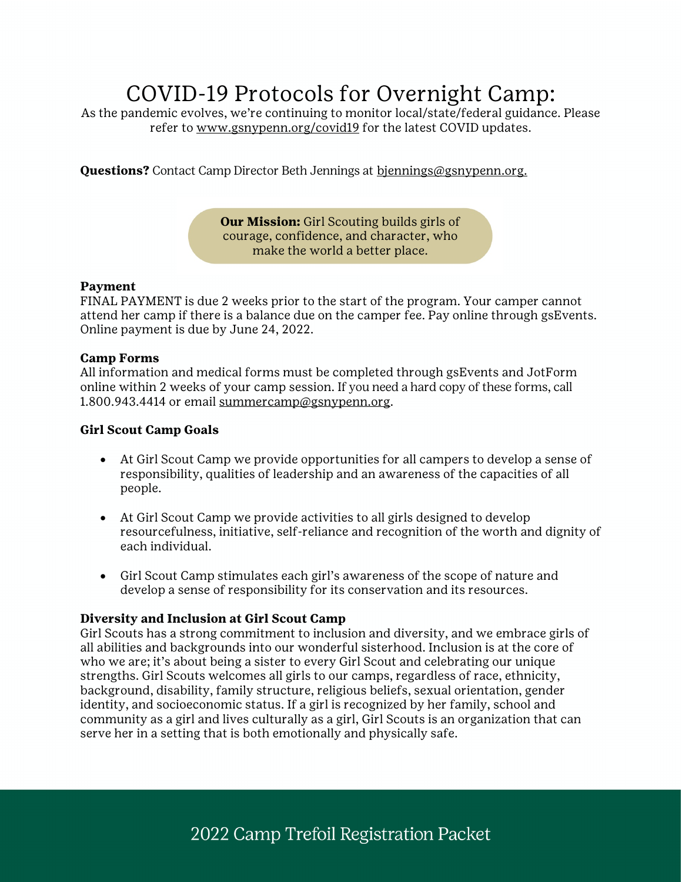# COVID-19 Protocols for Overnight Camp:

As the pandemic evolves, we're continuing to monitor local/state/federal guidance. Please refer to www.gsnypenn.org/covid19 for the latest COVID updates.

**Questions?** Contact Camp Director Beth Jennings at bjennings@gsnypenn.org.

**Our Mission:** Girl Scouting builds girls of courage, confidence, and character, who make the world a better place.

#### **Payment**

FINAL PAYMENT is due 2 weeks prior to the start of the program. Your camper cannot attend her camp if there is a balance due on the camper fee. Pay online through gsEvents. Online payment is due by June 24, 2022.

#### **Camp Forms**

All information and medical forms must be completed through gsEvents and JotForm online within 2 weeks of your camp session. If you need a hard copy of these forms, call 1.800.943.4414 or email summercamp@gsnypenn.org.

#### **Girl Scout Camp Goals**

- At Girl Scout Camp we provide opportunities for all campers to develop a sense of responsibility, qualities of leadership and an awareness of the capacities of all people.
- At Girl Scout Camp we provide activities to all girls designed to develop resourcefulness, initiative, self-reliance and recognition of the worth and dignity of each individual.
- Girl Scout Camp stimulates each girl's awareness of the scope of nature and develop a sense of responsibility for its conservation and its resources.

# **Diversity and Inclusion at Girl Scout Camp**

Girl Scouts has a strong commitment to inclusion and diversity, and we embrace girls of all abilities and backgrounds into our wonderful sisterhood. Inclusion is at the core of who we are; it's about being a sister to every Girl Scout and celebrating our unique strengths. Girl Scouts welcomes all girls to our camps, regardless of race, ethnicity, background, disability, family structure, religious beliefs, sexual orientation, gender identity, and socioeconomic status. If a girl is recognized by her family, school and community as a girl and lives culturally as a girl, Girl Scouts is an organization that can serve her in a setting that is both emotionally and physically safe.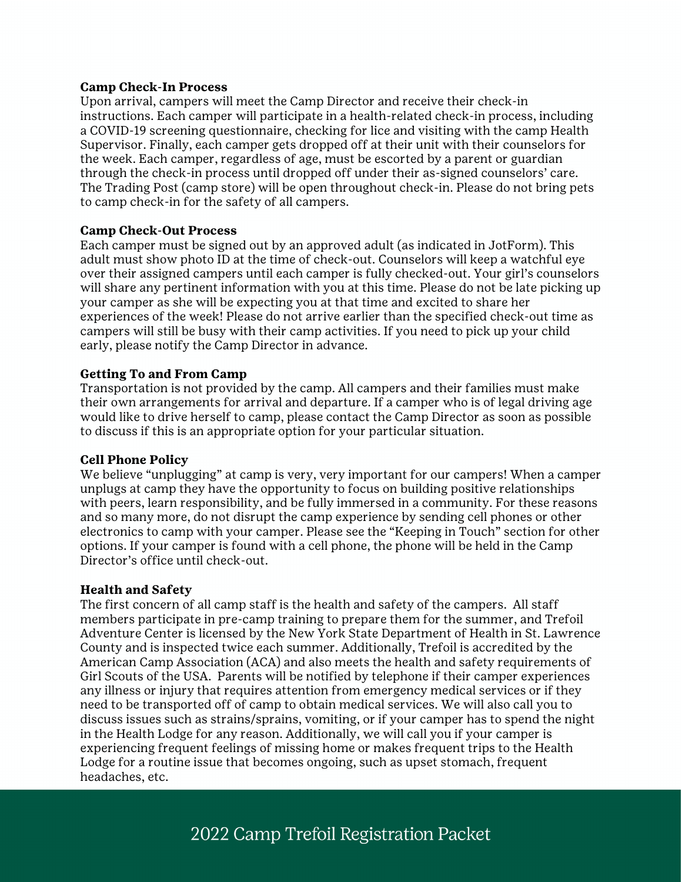#### **Camp Check-In Process**

Upon arrival, campers will meet the Camp Director and receive their check-in instructions. Each camper will participate in a health-related check-in process, including a COVID-19 screening questionnaire, checking for lice and visiting with the camp Health Supervisor. Finally, each camper gets dropped off at their unit with their counselors for the week. Each camper, regardless of age, must be escorted by a parent or guardian through the check-in process until dropped off under their as-signed counselors' care. The Trading Post (camp store) will be open throughout check-in. Please do not bring pets to camp check-in for the safety of all campers.

#### **Camp Check-Out Process**

Each camper must be signed out by an approved adult (as indicated in JotForm). This adult must show photo ID at the time of check-out. Counselors will keep a watchful eye over their assigned campers until each camper is fully checked-out. Your girl's counselors will share any pertinent information with you at this time. Please do not be late picking up your camper as she will be expecting you at that time and excited to share her experiences of the week! Please do not arrive earlier than the specified check-out time as campers will still be busy with their camp activities. If you need to pick up your child early, please notify the Camp Director in advance.

#### **Getting To and From Camp**

Transportation is not provided by the camp. All campers and their families must make their own arrangements for arrival and departure. If a camper who is of legal driving age would like to drive herself to camp, please contact the Camp Director as soon as possible to discuss if this is an appropriate option for your particular situation.

#### **Cell Phone Policy**

We believe "unplugging" at camp is very, very important for our campers! When a camper unplugs at camp they have the opportunity to focus on building positive relationships with peers, learn responsibility, and be fully immersed in a community. For these reasons and so many more, do not disrupt the camp experience by sending cell phones or other electronics to camp with your camper. Please see the "Keeping in Touch" section for other options. If your camper is found with a cell phone, the phone will be held in the Camp Director's office until check-out.

#### **Health and Safety**

The first concern of all camp staff is the health and safety of the campers. All staff members participate in pre-camp training to prepare them for the summer, and Trefoil Adventure Center is licensed by the New York State Department of Health in St. Lawrence County and is inspected twice each summer. Additionally, Trefoil is accredited by the American Camp Association (ACA) and also meets the health and safety requirements of Girl Scouts of the USA. Parents will be notified by telephone if their camper experiences any illness or injury that requires attention from emergency medical services or if they need to be transported off of camp to obtain medical services. We will also call you to discuss issues such as strains/sprains, vomiting, or if your camper has to spend the night in the Health Lodge for any reason. Additionally, we will call you if your camper is experiencing frequent feelings of missing home or makes frequent trips to the Health Lodge for a routine issue that becomes ongoing, such as upset stomach, frequent headaches, etc.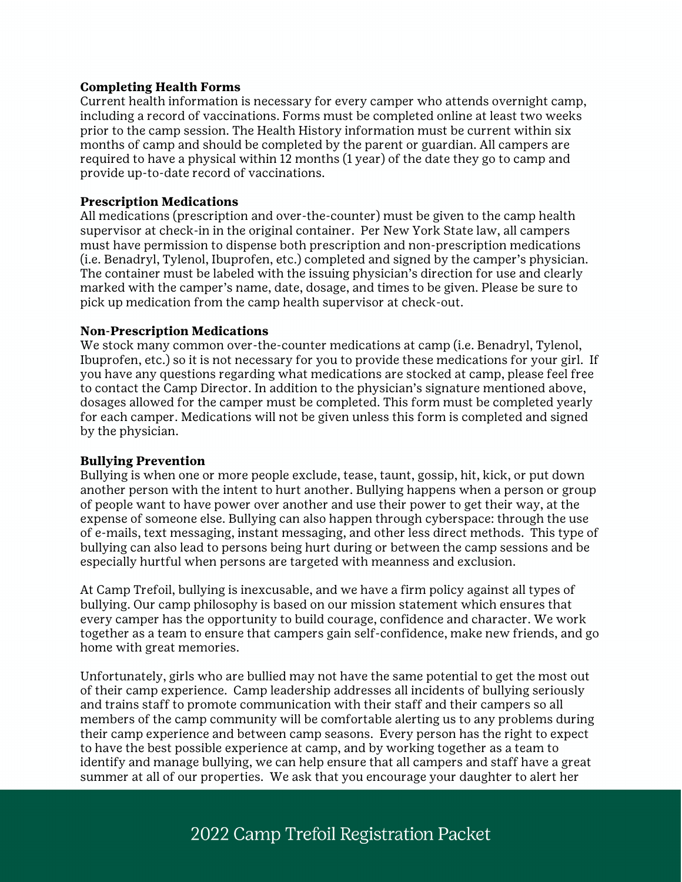#### **Completing Health Forms**

Current health information is necessary for every camper who attends overnight camp, including a record of vaccinations. Forms must be completed online at least two weeks prior to the camp session. The Health History information must be current within six months of camp and should be completed by the parent or guardian. All campers are required to have a physical within 12 months (1 year) of the date they go to camp and provide up-to-date record of vaccinations.

#### **Prescription Medications**

All medications (prescription and over-the-counter) must be given to the camp health supervisor at check-in in the original container. Per New York State law, all campers must have permission to dispense both prescription and non-prescription medications (i.e. Benadryl, Tylenol, Ibuprofen, etc.) completed and signed by the camper's physician. The container must be labeled with the issuing physician's direction for use and clearly marked with the camper's name, date, dosage, and times to be given. Please be sure to pick up medication from the camp health supervisor at check-out.

#### **Non-Prescription Medications**

We stock many common over-the-counter medications at camp (i.e. Benadryl, Tylenol, Ibuprofen, etc.) so it is not necessary for you to provide these medications for your girl. If you have any questions regarding what medications are stocked at camp, please feel free to contact the Camp Director. In addition to the physician's signature mentioned above, dosages allowed for the camper must be completed. This form must be completed yearly for each camper. Medications will not be given unless this form is completed and signed by the physician.

#### **Bullying Prevention**

Bullying is when one or more people exclude, tease, taunt, gossip, hit, kick, or put down another person with the intent to hurt another. Bullying happens when a person or group of people want to have power over another and use their power to get their way, at the expense of someone else. Bullying can also happen through cyberspace: through the use of e-mails, text messaging, instant messaging, and other less direct methods. This type of bullying can also lead to persons being hurt during or between the camp sessions and be especially hurtful when persons are targeted with meanness and exclusion.

At Camp Trefoil, bullying is inexcusable, and we have a firm policy against all types of bullying. Our camp philosophy is based on our mission statement which ensures that every camper has the opportunity to build courage, confidence and character. We work together as a team to ensure that campers gain self-confidence, make new friends, and go home with great memories.

Unfortunately, girls who are bullied may not have the same potential to get the most out of their camp experience. Camp leadership addresses all incidents of bullying seriously and trains staff to promote communication with their staff and their campers so all members of the camp community will be comfortable alerting us to any problems during their camp experience and between camp seasons. Every person has the right to expect to have the best possible experience at camp, and by working together as a team to identify and manage bullying, we can help ensure that all campers and staff have a great summer at all of our properties. We ask that you encourage your daughter to alert her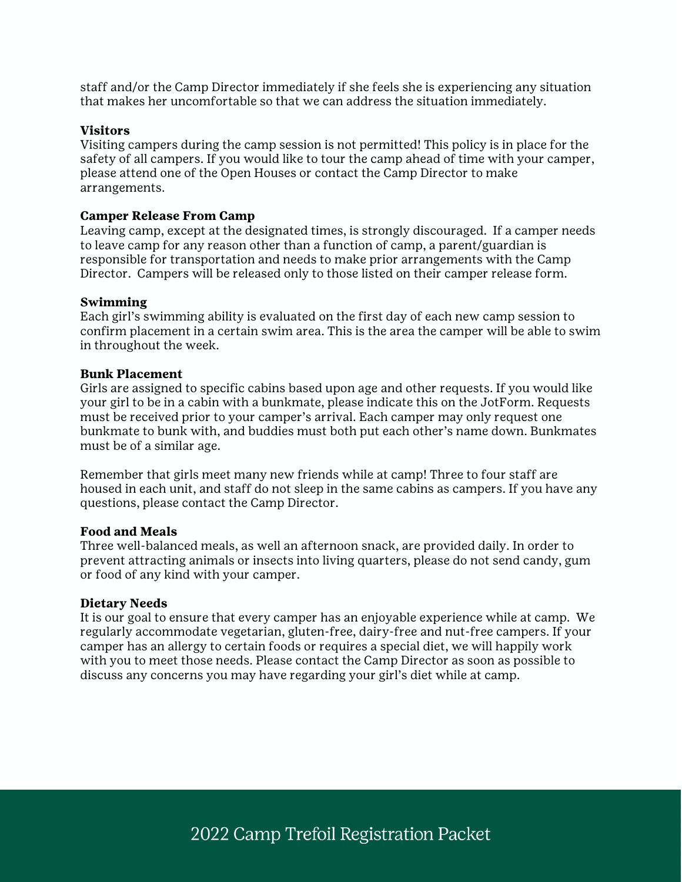staff and/or the Camp Director immediately if she feels she is experiencing any situation that makes her uncomfortable so that we can address the situation immediately.

#### **Visitors**

Visiting campers during the camp session is not permitted! This policy is in place for the safety of all campers. If you would like to tour the camp ahead of time with your camper, please attend one of the Open Houses or contact the Camp Director to make arrangements.

#### **Camper Release From Camp**

Leaving camp, except at the designated times, is strongly discouraged. If a camper needs to leave camp for any reason other than a function of camp, a parent/guardian is responsible for transportation and needs to make prior arrangements with the Camp Director. Campers will be released only to those listed on their camper release form.

#### **Swimming**

Each girl's swimming ability is evaluated on the first day of each new camp session to confirm placement in a certain swim area. This is the area the camper will be able to swim in throughout the week.

#### **Bunk Placement**

Girls are assigned to specific cabins based upon age and other requests. If you would like your girl to be in a cabin with a bunkmate, please indicate this on the JotForm. Requests must be received prior to your camper's arrival. Each camper may only request one bunkmate to bunk with, and buddies must both put each other's name down. Bunkmates must be of a similar age.

Remember that girls meet many new friends while at camp! Three to four staff are housed in each unit, and staff do not sleep in the same cabins as campers. If you have any questions, please contact the Camp Director.

#### **Food and Meals**

Three well-balanced meals, as well an afternoon snack, are provided daily. In order to prevent attracting animals or insects into living quarters, please do not send candy, gum or food of any kind with your camper.

#### **Dietary Needs**

It is our goal to ensure that every camper has an enjoyable experience while at camp. We regularly accommodate vegetarian, gluten-free, dairy-free and nut-free campers. If your camper has an allergy to certain foods or requires a special diet, we will happily work with you to meet those needs. Please contact the Camp Director as soon as possible to discuss any concerns you may have regarding your girl's diet while at camp.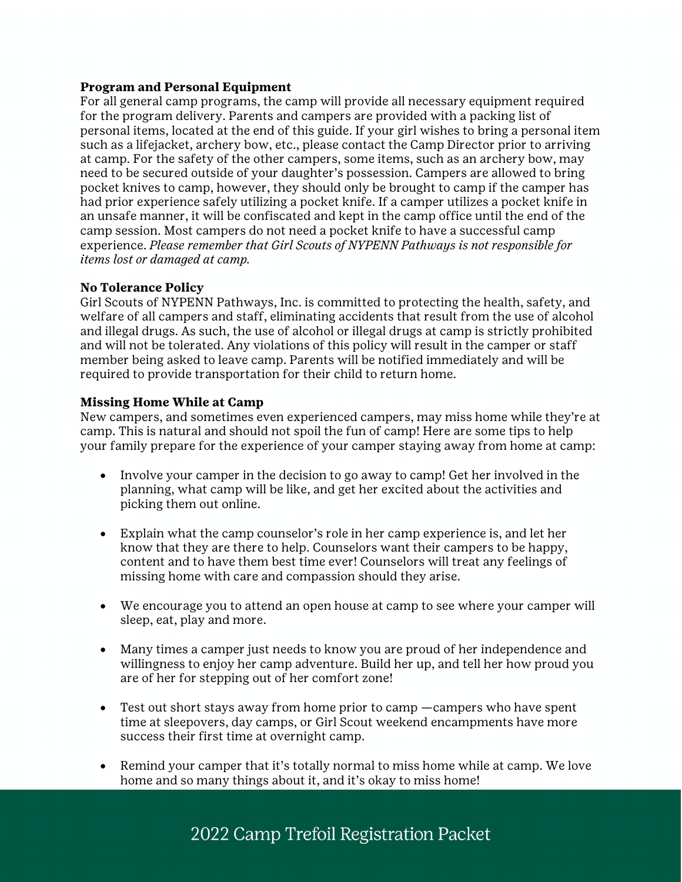#### **Program and Personal Equipment**

For all general camp programs, the camp will provide all necessary equipment required for the program delivery. Parents and campers are provided with a packing list of personal items, located at the end of this guide. If your girl wishes to bring a personal item such as a lifejacket, archery bow, etc., please contact the Camp Director prior to arriving at camp. For the safety of the other campers, some items, such as an archery bow, may need to be secured outside of your daughter's possession. Campers are allowed to bring pocket knives to camp, however, they should only be brought to camp if the camper has had prior experience safely utilizing a pocket knife. If a camper utilizes a pocket knife in an unsafe manner, it will be confiscated and kept in the camp office until the end of the camp session. Most campers do not need a pocket knife to have a successful camp experience. *Please remember that Girl Scouts of NYPENN Pathways is not responsible for items lost or damaged at camp.*

# **No Tolerance Policy**

Girl Scouts of NYPENN Pathways, Inc. is committed to protecting the health, safety, and welfare of all campers and staff, eliminating accidents that result from the use of alcohol and illegal drugs. As such, the use of alcohol or illegal drugs at camp is strictly prohibited and will not be tolerated. Any violations of this policy will result in the camper or staff member being asked to leave camp. Parents will be notified immediately and will be required to provide transportation for their child to return home.

#### **Missing Home While at Camp**

New campers, and sometimes even experienced campers, may miss home while they're at camp. This is natural and should not spoil the fun of camp! Here are some tips to help your family prepare for the experience of your camper staying away from home at camp:

- Involve your camper in the decision to go away to camp! Get her involved in the planning, what camp will be like, and get her excited about the activities and picking them out online.
- Explain what the camp counselor's role in her camp experience is, and let her know that they are there to help. Counselors want their campers to be happy, content and to have them best time ever! Counselors will treat any feelings of missing home with care and compassion should they arise.
- We encourage you to attend an open house at camp to see where your camper will sleep, eat, play and more.
- Many times a camper just needs to know you are proud of her independence and willingness to enjoy her camp adventure. Build her up, and tell her how proud you are of her for stepping out of her comfort zone!
- Test out short stays away from home prior to camp —campers who have spent time at sleepovers, day camps, or Girl Scout weekend encampments have more success their first time at overnight camp.
- Remind your camper that it's totally normal to miss home while at camp. We love home and so many things about it, and it's okay to miss home!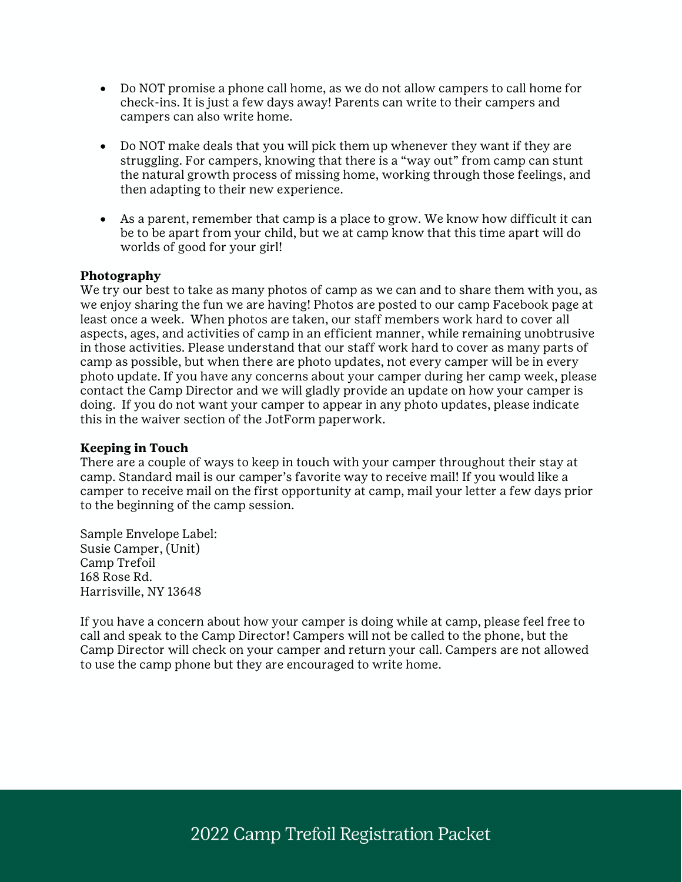- Do NOT promise a phone call home, as we do not allow campers to call home for check-ins. It is just a few days away! Parents can write to their campers and campers can also write home.
- Do NOT make deals that you will pick them up whenever they want if they are struggling. For campers, knowing that there is a "way out" from camp can stunt the natural growth process of missing home, working through those feelings, and then adapting to their new experience.
- As a parent, remember that camp is a place to grow. We know how difficult it can be to be apart from your child, but we at camp know that this time apart will do worlds of good for your girl!

#### **Photography**

We try our best to take as many photos of camp as we can and to share them with you, as we enjoy sharing the fun we are having! Photos are posted to our camp Facebook page at least once a week. When photos are taken, our staff members work hard to cover all aspects, ages, and activities of camp in an efficient manner, while remaining unobtrusive in those activities. Please understand that our staff work hard to cover as many parts of camp as possible, but when there are photo updates, not every camper will be in every photo update. If you have any concerns about your camper during her camp week, please contact the Camp Director and we will gladly provide an update on how your camper is doing. If you do not want your camper to appear in any photo updates, please indicate this in the waiver section of the JotForm paperwork.

#### **Keeping in Touch**

There are a couple of ways to keep in touch with your camper throughout their stay at camp. Standard mail is our camper's favorite way to receive mail! If you would like a camper to receive mail on the first opportunity at camp, mail your letter a few days prior to the beginning of the camp session.

Sample Envelope Label: Susie Camper, (Unit) Camp Trefoil 168 Rose Rd. Harrisville, NY 13648

If you have a concern about how your camper is doing while at camp, please feel free to call and speak to the Camp Director! Campers will not be called to the phone, but the Camp Director will check on your camper and return your call. Campers are not allowed to use the camp phone but they are encouraged to write home.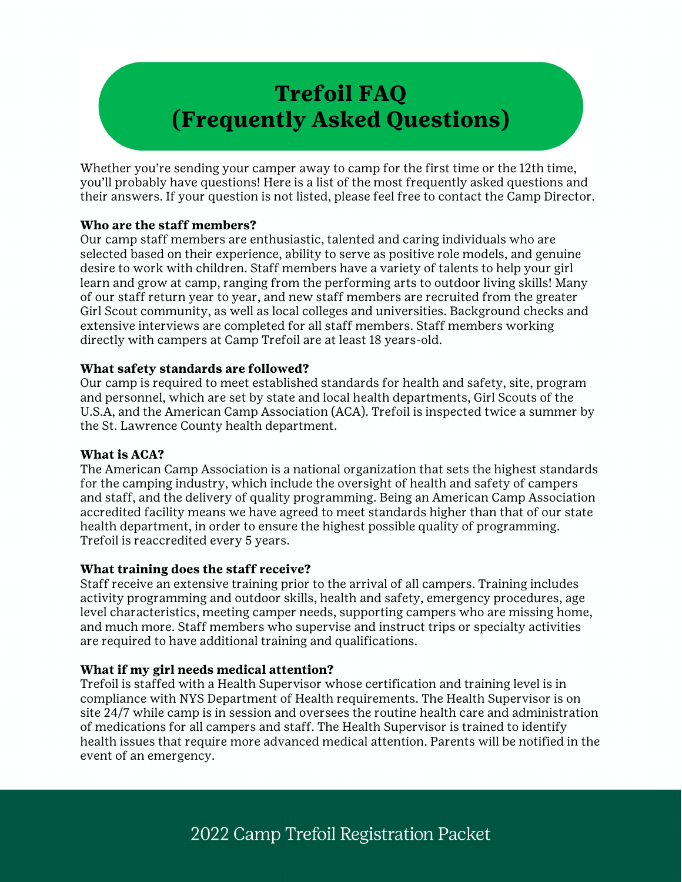# **Trefoil FAQ (Frequently Asked Questions)**

Whether you're sending your camper away to camp for the first time or the 12th time, you'll probably have questions! Here is a list of the most frequently asked questions and their answers. If your question is not listed, please feel free to contact the Camp Director.

#### **Who are the staff members?**

Our camp staff members are enthusiastic, talented and caring individuals who are selected based on their experience, ability to serve as positive role models, and genuine desire to work with children. Staff members have a variety of talents to help your girl learn and grow at camp, ranging from the performing arts to outdoor living skills! Many of our staff return year to year, and new staff members are recruited from the greater Girl Scout community, as well as local colleges and universities. Background checks and extensive interviews are completed for all staff members. Staff members working directly with campers at Camp Trefoil are at least 18 years-old.

#### **What safety standards are followed?**

Our camp is required to meet established standards for health and safety, site, program and personnel, which are set by state and local health departments, Girl Scouts of the U.S.A, and the American Camp Association (ACA). Trefoil is inspected twice a summer by the St. Lawrence County health department.

# **What is ACA?**

The American Camp Association is a national organization that sets the highest standards for the camping industry, which include the oversight of health and safety of campers and staff, and the delivery of quality programming. Being an American Camp Association accredited facility means we have agreed to meet standards higher than that of our state health department, in order to ensure the highest possible quality of programming. Trefoil is reaccredited every 5 years.

# **What training does the staff receive?**

Staff receive an extensive training prior to the arrival of all campers. Training includes activity programming and outdoor skills, health and safety, emergency procedures, age level characteristics, meeting camper needs, supporting campers who are missing home, and much more. Staff members who supervise and instruct trips or specialty activities are required to have additional training and qualifications.

# **What if my girl needs medical attention?**

Trefoil is staffed with a Health Supervisor whose certification and training level is in compliance with NYS Department of Health requirements. The Health Supervisor is on site 24/7 while camp is in session and oversees the routine health care and administration of medications for all campers and staff. The Health Supervisor is trained to identify health issues that require more advanced medical attention. Parents will be notified in the event of an emergency.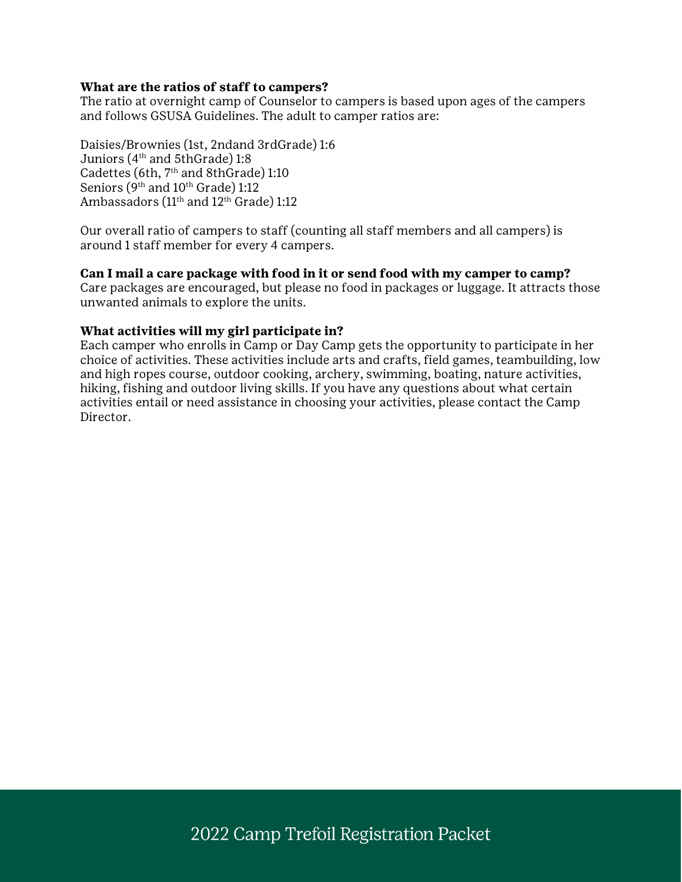#### **What are the ratios of staff to campers?**

The ratio at overnight camp of Counselor to campers is based upon ages of the campers and follows GSUSA Guidelines. The adult to camper ratios are:

Daisies/Brownies (1st, 2ndand 3rdGrade) 1:6 Juniors (4th and 5thGrade) 1:8 Cadettes (6th, 7<sup>th</sup> and 8thGrade) 1:10 Seniors (9<sup>th</sup> and 10<sup>th</sup> Grade) 1:12 Ambassadors (11<sup>th</sup> and 12<sup>th</sup> Grade) 1:12

Our overall ratio of campers to staff (counting all staff members and all campers) is around 1 staff member for every 4 campers.

#### **Can I mail a care package with food in it or send food with my camper to camp?**

Care packages are encouraged, but please no food in packages or luggage. It attracts those unwanted animals to explore the units.

#### **What activities will my girl participate in?**

Each camper who enrolls in Camp or Day Camp gets the opportunity to participate in her choice of activities. These activities include arts and crafts, field games, teambuilding, low and high ropes course, outdoor cooking, archery, swimming, boating, nature activities, hiking, fishing and outdoor living skills. If you have any questions about what certain activities entail or need assistance in choosing your activities, please contact the Camp Director.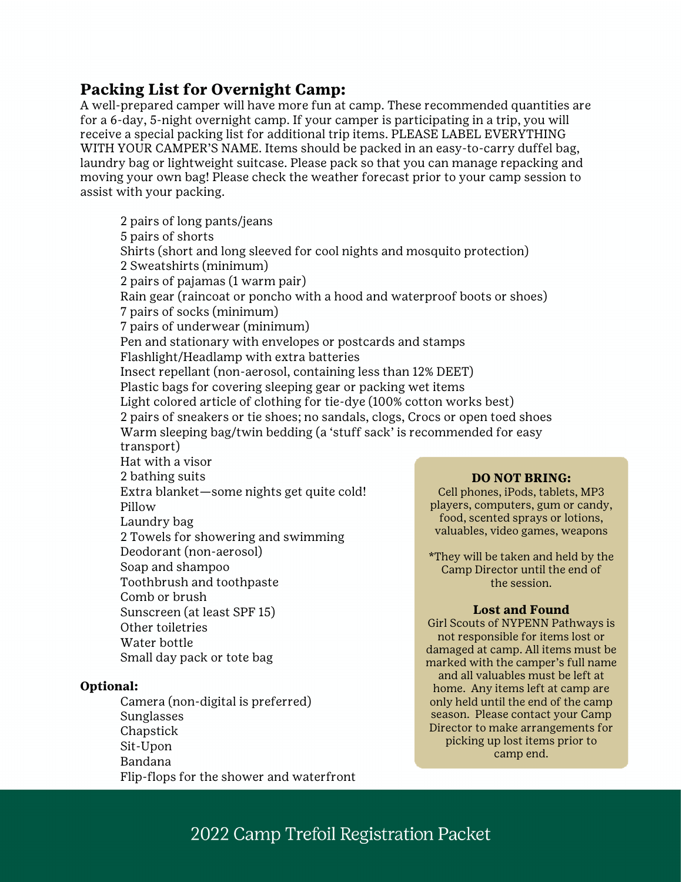# **Packing List for Overnight Camp:**

Water bottle

 Sunglasses Chapstick Sit-Upon Bandana

**Optional:**

Small day pack or tote bag

Camera (non-digital is preferred)

Flip-flops for the shower and waterfront

A well-prepared camper will have more fun at camp. These recommended quantities are for a 6-day, 5-night overnight camp. If your camper is participating in a trip, you will receive a special packing list for additional trip items. PLEASE LABEL EVERYTHING WITH YOUR CAMPER'S NAME. Items should be packed in an easy-to-carry duffel bag, laundry bag or lightweight suitcase. Please pack so that you can manage repacking and moving your own bag! Please check the weather forecast prior to your camp session to assist with your packing.

 2 pairs of long pants/jeans 5 pairs of shorts Shirts (short and long sleeved for cool nights and mosquito protection) 2 Sweatshirts (minimum) 2 pairs of pajamas (1 warm pair) Rain gear (raincoat or poncho with a hood and waterproof boots or shoes) 7 pairs of socks (minimum) 7 pairs of underwear (minimum) Pen and stationary with envelopes or postcards and stamps Flashlight/Headlamp with extra batteries Insect repellant (non-aerosol, containing less than 12% DEET) Plastic bags for covering sleeping gear or packing wet items Light colored article of clothing for tie-dye (100% cotton works best) 2 pairs of sneakers or tie shoes; no sandals, clogs, Crocs or open toed shoes Warm sleeping bag/twin bedding (a 'stuff sack' is recommended for easy transport) Hat with a visor 2 bathing suits Extra blanket—some nights get quite cold! Pillow Laundry bag 2 Towels for showering and swimming Deodorant (non-aerosol) Soap and shampoo Toothbrush and toothpaste Comb or brush Sunscreen (at least SPF 15) Other toiletries **DO NOT BRING:** Cell phones, iPods, tablets, MP3 players, computers, gum or candy, food, scented sprays or lotions, valuables, video games, weapons \*They will be taken and held by the Camp Director until the end of the session. **Lost and Found**

Girl Scouts of NYPENN Pathways is not responsible for items lost or damaged at camp. All items must be marked with the camper's full name and all valuables must be left at home. Any items left at camp are only held until the end of the camp season. Please contact your Camp Director to make arrangements for picking up lost items prior to camp end.

# 2022 Camp Trefoil Registration Packet